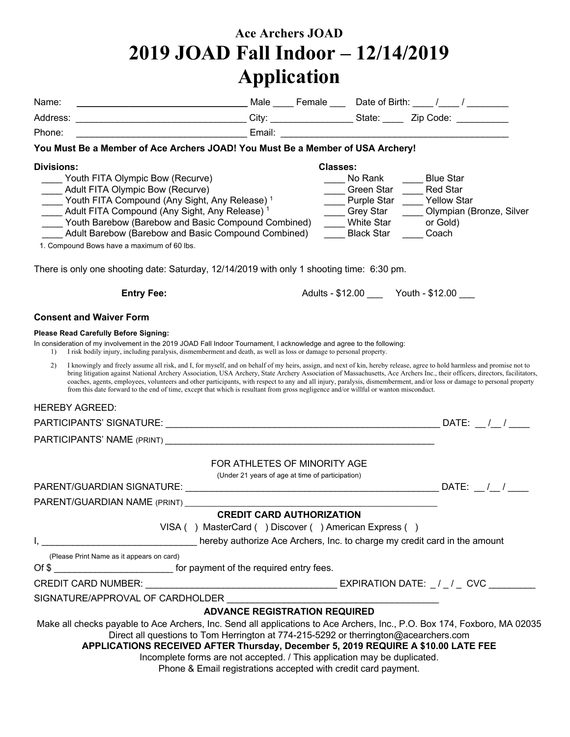## **Ace Archers JOAD 2019 JOAD Fall Indoor – 12/14/2019 Application**

| Name:                                                                                                                                                                                                                                                                                                                                                                                                                                                                                                                                                                                                                                                                           |                                                                                  |                 |                                                                                          |                                                                         |                          |
|---------------------------------------------------------------------------------------------------------------------------------------------------------------------------------------------------------------------------------------------------------------------------------------------------------------------------------------------------------------------------------------------------------------------------------------------------------------------------------------------------------------------------------------------------------------------------------------------------------------------------------------------------------------------------------|----------------------------------------------------------------------------------|-----------------|------------------------------------------------------------------------------------------|-------------------------------------------------------------------------|--------------------------|
| _________________________________City: __________________State: _______Zip Code: ____________<br>Address:                                                                                                                                                                                                                                                                                                                                                                                                                                                                                                                                                                       |                                                                                  |                 |                                                                                          |                                                                         |                          |
| <u> 1989 - Jan Jan James, amerikansk fotograf i stof fotograf i stof fotograf i stof fotograf i stof fotograf i s</u><br>Phone:                                                                                                                                                                                                                                                                                                                                                                                                                                                                                                                                                 |                                                                                  |                 |                                                                                          |                                                                         |                          |
| You Must Be a Member of Ace Archers JOAD! You Must Be a Member of USA Archery!                                                                                                                                                                                                                                                                                                                                                                                                                                                                                                                                                                                                  |                                                                                  |                 |                                                                                          |                                                                         |                          |
| <b>Divisions:</b>                                                                                                                                                                                                                                                                                                                                                                                                                                                                                                                                                                                                                                                               |                                                                                  | <b>Classes:</b> |                                                                                          |                                                                         |                          |
| Youth FITA Olympic Bow (Recurve)<br>Adult FITA Olympic Bow (Recurve)<br>Youth FITA Compound (Any Sight, Any Release) <sup>1</sup><br>Adult FITA Compound (Any Sight, Any Release) <sup>1</sup><br>__ Youth Barebow (Barebow and Basic Compound Combined)<br>Adult Barebow (Barebow and Basic Compound Combined)<br>1. Compound Bows have a maximum of 60 lbs.                                                                                                                                                                                                                                                                                                                   |                                                                                  |                 | No Rank<br>Green Star<br>Purple Star<br>___ Grey Star<br>White Star<br><b>Black Star</b> | <b>Blue Star</b><br><b>Red Star</b><br>Vellow Star<br>or Gold)<br>Coach | Olympian (Bronze, Silver |
| There is only one shooting date: Saturday, 12/14/2019 with only 1 shooting time: 6:30 pm.                                                                                                                                                                                                                                                                                                                                                                                                                                                                                                                                                                                       |                                                                                  |                 |                                                                                          |                                                                         |                          |
| <b>Entry Fee:</b>                                                                                                                                                                                                                                                                                                                                                                                                                                                                                                                                                                                                                                                               |                                                                                  |                 | Adults - \$12.00 _______ Youth - \$12.00 ____                                            |                                                                         |                          |
| <b>Consent and Waiver Form</b>                                                                                                                                                                                                                                                                                                                                                                                                                                                                                                                                                                                                                                                  |                                                                                  |                 |                                                                                          |                                                                         |                          |
| Please Read Carefully Before Signing:<br>In consideration of my involvement in the 2019 JOAD Fall Indoor Tournament, I acknowledge and agree to the following:<br>I risk bodily injury, including paralysis, dismemberment and death, as well as loss or damage to personal property.<br>$\left  \right $                                                                                                                                                                                                                                                                                                                                                                       |                                                                                  |                 |                                                                                          |                                                                         |                          |
| 2)<br>I knowingly and freely assume all risk, and I, for myself, and on behalf of my heirs, assign, and next of kin, hereby release, agree to hold harmless and promise not to<br>bring litigation against National Archery Association, USA Archery, State Archery Association of Massachusetts, Ace Archers Inc., their officers, directors, facilitators,<br>coaches, agents, employees, volunteers and other participants, with respect to any and all injury, paralysis, dismemberment, and/or loss or damage to personal property<br>from this date forward to the end of time, except that which is resultant from gross negligence and/or willful or wanton misconduct. |                                                                                  |                 |                                                                                          |                                                                         |                          |
| <b>HEREBY AGREED:</b>                                                                                                                                                                                                                                                                                                                                                                                                                                                                                                                                                                                                                                                           |                                                                                  |                 |                                                                                          |                                                                         |                          |
|                                                                                                                                                                                                                                                                                                                                                                                                                                                                                                                                                                                                                                                                                 |                                                                                  |                 |                                                                                          |                                                                         |                          |
|                                                                                                                                                                                                                                                                                                                                                                                                                                                                                                                                                                                                                                                                                 |                                                                                  |                 |                                                                                          |                                                                         |                          |
|                                                                                                                                                                                                                                                                                                                                                                                                                                                                                                                                                                                                                                                                                 | FOR ATHLETES OF MINORITY AGE<br>(Under 21 years of age at time of participation) |                 |                                                                                          |                                                                         |                          |
|                                                                                                                                                                                                                                                                                                                                                                                                                                                                                                                                                                                                                                                                                 |                                                                                  |                 |                                                                                          |                                                                         | DATE: $/$ /              |
| <b>PARENT/GUARDIAN NAME (PRINT)</b> AND THE STATE STATES AND THE STATES OF STATES AND THE STATES OF STATES OF STATES OF STATES OF STATES OF STATES OF STATES OF STATES OF STATES OF STATES OF STATES OF STATES OF STATES OF STATES                                                                                                                                                                                                                                                                                                                                                                                                                                              |                                                                                  |                 |                                                                                          |                                                                         |                          |
|                                                                                                                                                                                                                                                                                                                                                                                                                                                                                                                                                                                                                                                                                 | <b>CREDIT CARD AUTHORIZATION</b>                                                 |                 |                                                                                          |                                                                         |                          |
| VISA () MasterCard () Discover () American Express ()                                                                                                                                                                                                                                                                                                                                                                                                                                                                                                                                                                                                                           |                                                                                  |                 |                                                                                          |                                                                         |                          |
| I,<br>hereby authorize Ace Archers, Inc. to charge my credit card in the amount                                                                                                                                                                                                                                                                                                                                                                                                                                                                                                                                                                                                 |                                                                                  |                 |                                                                                          |                                                                         |                          |
| (Please Print Name as it appears on card)<br>Of \$ _____________________________ for payment of the required entry fees.                                                                                                                                                                                                                                                                                                                                                                                                                                                                                                                                                        |                                                                                  |                 |                                                                                          |                                                                         |                          |
|                                                                                                                                                                                                                                                                                                                                                                                                                                                                                                                                                                                                                                                                                 |                                                                                  |                 |                                                                                          |                                                                         |                          |
| SIGNATURE/APPROVAL OF CARDHOLDER                                                                                                                                                                                                                                                                                                                                                                                                                                                                                                                                                                                                                                                |                                                                                  |                 |                                                                                          |                                                                         |                          |
|                                                                                                                                                                                                                                                                                                                                                                                                                                                                                                                                                                                                                                                                                 | <b>ADVANCE REGISTRATION REQUIRED</b>                                             |                 |                                                                                          |                                                                         |                          |
| Make all checks payable to Ace Archers, Inc. Send all applications to Ace Archers, Inc., P.O. Box 174, Foxboro, MA 02035<br>Direct all questions to Tom Herrington at 774-215-5292 or therrington@acearchers.com<br>APPLICATIONS RECEIVED AFTER Thursday, December 5, 2019 REQUIRE A \$10.00 LATE FEE<br>Incomplete forms are not accepted. / This application may be duplicated.<br>Phone & Email registrations accepted with credit card payment.                                                                                                                                                                                                                             |                                                                                  |                 |                                                                                          |                                                                         |                          |